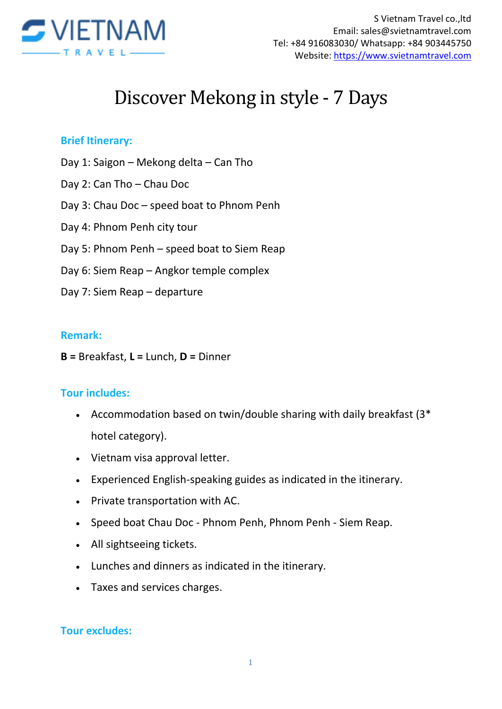

# Discover Mekong in style - 7 Days

#### **Brief Itinerary:**

- Day 1: Saigon Mekong delta Can Tho
- Day 2: Can Tho Chau Doc
- Day 3: Chau Doc speed boat to Phnom Penh
- Day 4: Phnom Penh city tour
- Day 5: Phnom Penh speed boat to Siem Reap
- Day 6: Siem Reap Angkor temple complex
- Day 7: Siem Reap departure

#### **Remark:**

**B =** Breakfast, **L =** Lunch, **D =** Dinner

#### **Tour includes:**

- Accommodation based on twin/double sharing with daily breakfast (3\* hotel category).
- Vietnam visa approval letter.
- Experienced English-speaking guides as indicated in the itinerary.
- Private transportation with AC.
- Speed boat Chau Doc Phnom Penh, Phnom Penh Siem Reap.
- All sightseeing tickets.
- Lunches and dinners as indicated in the itinerary.
- Taxes and services charges.

#### **Tour excludes:**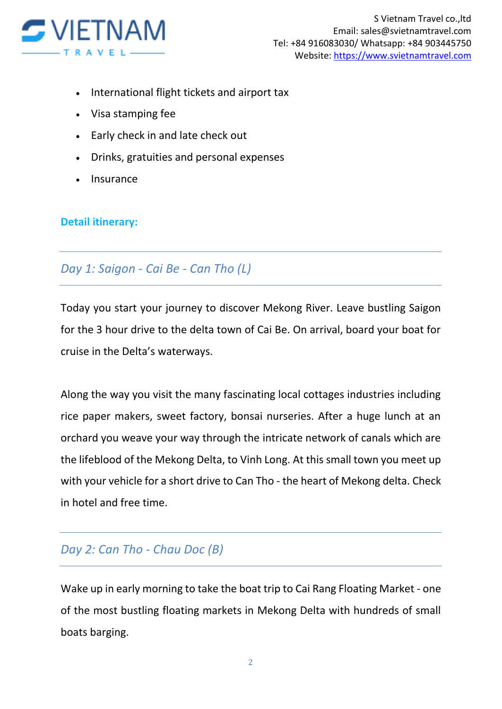

- International flight tickets and airport tax
- Visa stamping fee
- Early check in and late check out
- Drinks, gratuities and personal expenses
- Insurance

#### **Detail itinerary:**

### *Day 1: Saigon - Cai Be - Can Tho (L)*

Today you start your journey to discover Mekong River. Leave bustling Saigon for the 3 hour drive to the delta town of Cai Be. On arrival, board your boat for cruise in the Delta's waterways.

Along the way you visit the many fascinating local cottages industries including rice paper makers, sweet factory, bonsai nurseries. After a huge lunch at an orchard you weave your way through the intricate network of canals which are the lifeblood of the Mekong Delta, to Vinh Long. At this small town you meet up with your vehicle for a short drive to Can Tho - the heart of Mekong delta. Check in hotel and free time.

## *Day 2: Can Tho - Chau Doc (B)*

Wake up in early morning to take the boat trip to Cai Rang Floating Market - one of the most bustling floating markets in Mekong Delta with hundreds of small boats barging.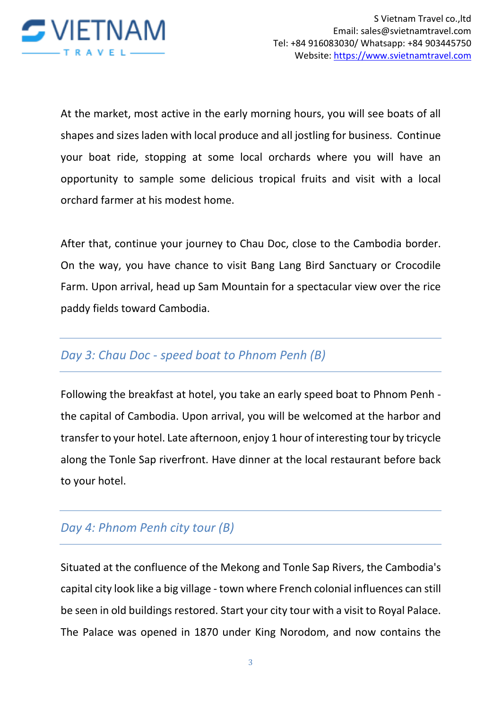

At the market, most active in the early morning hours, you will see boats of all shapes and sizes laden with local produce and all jostling for business. Continue your boat ride, stopping at some local orchards where you will have an opportunity to sample some delicious tropical fruits and visit with a local orchard farmer at his modest home.

After that, continue your journey to Chau Doc, close to the Cambodia border. On the way, you have chance to visit Bang Lang Bird Sanctuary or Crocodile Farm. Upon arrival, head up Sam Mountain for a spectacular view over the rice paddy fields toward Cambodia.

## *Day 3: Chau Doc - speed boat to Phnom Penh (B)*

Following the breakfast at hotel, you take an early speed boat to Phnom Penh the capital of Cambodia. Upon arrival, you will be welcomed at the harbor and transfer to your hotel. Late afternoon, enjoy 1 hour of interesting tour by tricycle along the Tonle Sap riverfront. Have dinner at the local restaurant before back to your hotel.

## *Day 4: Phnom Penh city tour (B)*

Situated at the confluence of the Mekong and Tonle Sap Rivers, the Cambodia's capital city look like a big village - town where French colonial influences can still be seen in old buildings restored. Start your city tour with a visit to Royal Palace. The Palace was opened in 1870 under King Norodom, and now contains the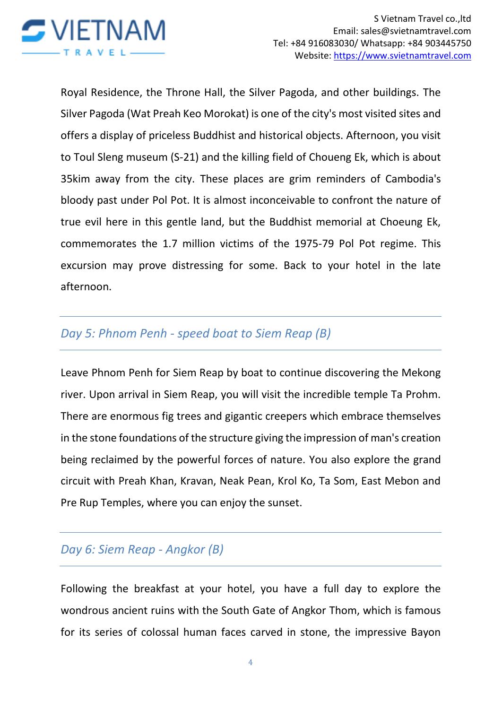

Royal Residence, the Throne Hall, the Silver Pagoda, and other buildings. The Silver Pagoda (Wat Preah Keo Morokat) is one of the city's most visited sites and offers a display of priceless Buddhist and historical objects. Afternoon, you visit to Toul Sleng museum (S-21) and the killing field of Choueng Ek, which is about 35kim away from the city. These places are grim reminders of Cambodia's bloody past under Pol Pot. It is almost inconceivable to confront the nature of true evil here in this gentle land, but the Buddhist memorial at Choeung Ek, commemorates the 1.7 million victims of the 1975-79 Pol Pot regime. This excursion may prove distressing for some. Back to your hotel in the late afternoon.

### *Day 5: Phnom Penh - speed boat to Siem Reap (B)*

Leave Phnom Penh for Siem Reap by boat to continue discovering the Mekong river. Upon arrival in Siem Reap, you will visit the incredible temple Ta Prohm. There are enormous fig trees and gigantic creepers which embrace themselves in the stone foundations of the structure giving the impression of man's creation being reclaimed by the powerful forces of nature. You also explore the grand circuit with Preah Khan, Kravan, Neak Pean, Krol Ko, Ta Som, East Mebon and Pre Rup Temples, where you can enjoy the sunset.

## *Day 6: Siem Reap - Angkor (B)*

Following the breakfast at your hotel, you have a full day to explore the wondrous ancient ruins with the South Gate of Angkor Thom, which is famous for its series of colossal human faces carved in stone, the impressive Bayon